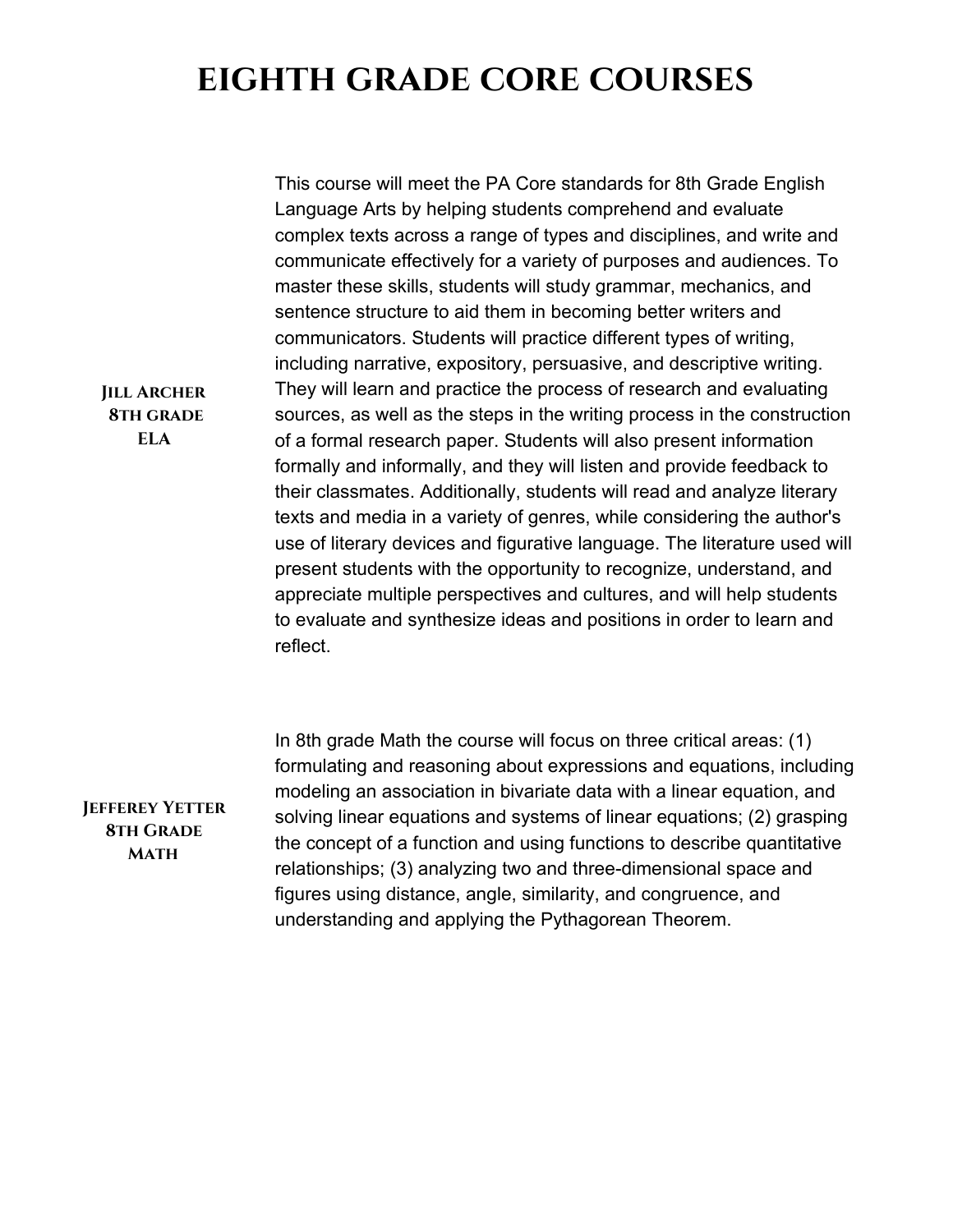## **eighth grade core courses**

This course will meet the PA Core standards for 8th Grade English Language Arts by helping students comprehend and evaluate complex texts across a range of types and disciplines, and write and communicate effectively for a variety of purposes and audiences. To master these skills, students will study grammar, mechanics, and sentence structure to aid them in becoming better writers and communicators. Students will practice different types of writing, including narrative, expository, persuasive, and descriptive writing. They will learn and practice the process of research and evaluating sources, as well as the steps in the writing process in the construction of a formal research paper. Students will also present information formally and informally, and they will listen and provide feedback to their classmates. Additionally, students will read and analyze literary texts and media in a variety of genres, while considering the author's use of literary devices and figurative language. The literature used will present students with the opportunity to recognize, understand, and appreciate multiple perspectives and cultures, and will help students to evaluate and synthesize ideas and positions in order to learn and reflect.

**Jefferey Yetter 8th Grade Math**

In 8th grade Math the course will focus on three critical areas: (1) formulating and reasoning about expressions and equations, including modeling an association in bivariate data with a linear equation, and solving linear equations and systems of linear equations; (2) grasping the concept of a function and using functions to describe quantitative relationships; (3) analyzing two and three-dimensional space and figures using distance, angle, similarity, and congruence, and understanding and applying the Pythagorean Theorem.

**Jill Archer 8th grade ELA**